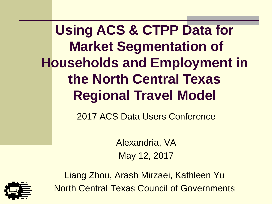**Using ACS & CTPP Data for Market Segmentation of Households and Employment in the North Central Texas Regional Travel Model**

2017 ACS Data Users Conference

Alexandria, VA May 12, 2017



Liang Zhou, Arash Mirzaei, Kathleen Yu North Central Texas Council of Governments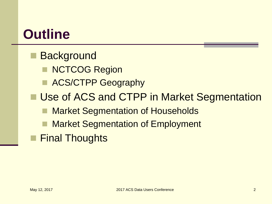#### **Outline**

- **Background** 
	- NCTCOG Region
	- ACS/CTPP Geography
- **Use of ACS and CTPP in Market Segmentation** 
	- Market Segmentation of Households
	- Market Segmentation of Employment
	- Final Thoughts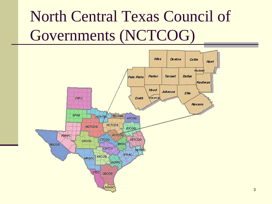# North Central Texas Council of Governments (NCTCOG)

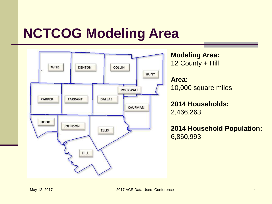### **NCTCOG Modeling Area**



**Modeling Area:** 12 County + Hill

#### **Area:**  10,000 square miles

**2014 Households:**  2,466,263

#### **2014 Household Population:** 6,860,993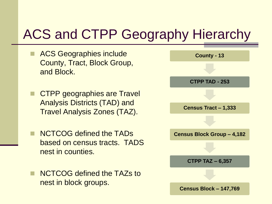#### ACS and CTPP Geography Hierarchy

- ACS Geographies include County, Tract, Block Group, and Block.
- CTPP geographies are Travel Analysis Districts (TAD) and Travel Analysis Zones (TAZ).
- NCTCOG defined the TADs based on census tracts. TADS nest in counties.
- NCTCOG defined the TAZs to nest in block groups.

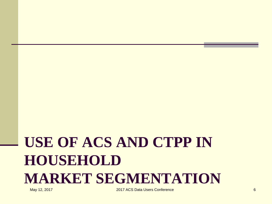# **USE OF ACS AND CTPP IN HOUSEHOLD MARKET SEGMENTATION**

May 12, 2017 2017 ACS Data Users Conference 6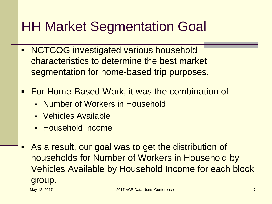### HH Market Segmentation Goal

- NCTCOG investigated various household characteristics to determine the best market segmentation for home-based trip purposes.
- For Home-Based Work, it was the combination of
	- Number of Workers in Household
	- Vehicles Available
	- Household Income
- As a result, our goal was to get the distribution of households for Number of Workers in Household by Vehicles Available by Household Income for each block group.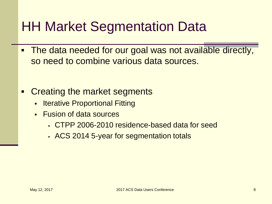### HH Market Segmentation Data

 The data needed for our goal was not available directly, so need to combine various data sources.

- **Creating the market segments** 
	- **-** Iterative Proportional Fitting
	- **Fusion of data sources** 
		- CTPP 2006-2010 residence-based data for seed
		- ACS 2014 5-year for segmentation totals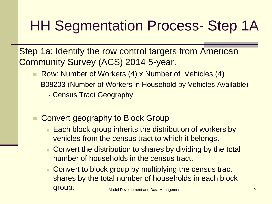# HH Segmentation Process- Step 1A

Step 1a: Identify the row control targets from American Community Survey (ACS) 2014 5-year.

- Row: Number of Workers (4) x Number of Vehicles (4) B08203 (Number of Workers in Household by Vehicles Available)
	- Census Tract Geography
- Convert geography to Block Group
	- Each block group inherits the distribution of workers by vehicles from the census tract to which it belongs.
	- Convert the distribution to shares by dividing by the total number of households in the census tract.
	- **Convert to block group by multiplying the census tract** shares by the total number of households in each block group. Model Development and Data Management <sup>9</sup>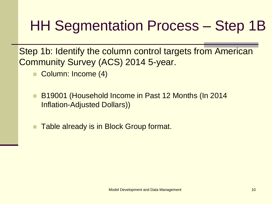## HH Segmentation Process – Step 1B

Step 1b: Identify the column control targets from American Community Survey (ACS) 2014 5-year.

- Column: Income (4)
- B19001 (Household Income in Past 12 Months (In 2014 Inflation-Adjusted Dollars))
- Table already is in Block Group format.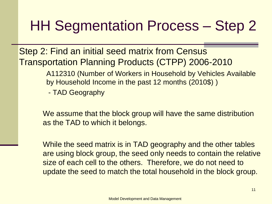### HH Segmentation Process – Step 2

Step 2: Find an initial seed matrix from Census Transportation Planning Products (CTPP) 2006-2010 A112310 (Number of Workers in Household by Vehicles Available by Household Income in the past 12 months (2010\$) )

- TAD Geography

We assume that the block group will have the same distribution as the TAD to which it belongs.

While the seed matrix is in TAD geography and the other tables are using block group, the seed only needs to contain the relative size of each cell to the others. Therefore, we do not need to update the seed to match the total household in the block group.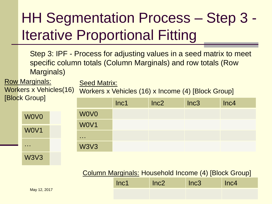# HH Segmentation Process – Step 3 - Iterative Proportional Fitting

Step 3: IPF - Process for adjusting values in a seed matrix to meet specific column totals (Column Marginals) and row totals (Row Marginals)

Row Marginals: Workers x Vehicles(16) [Block Group]

W0V0

W0V1

W3V3

…

Seed Matrix:

Workers x Vehicles (16) x Income (4) [Block Group]

|             | Inc <sub>3</sub> | Inc4 |
|-------------|------------------|------|
| <b>WOVO</b> |                  |      |
| WOV1        |                  |      |
| $\sim 100$  |                  |      |
| <b>W3V3</b> |                  |      |

Column Marginals: Household Income (4) [Block Group]

Inc1 Inc2 Inc3 Inc4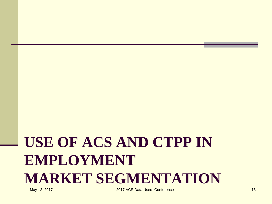# **USE OF ACS AND CTPP IN EMPLOYMENT MARKET SEGMENTATION**

May 12, 2017 **2017 2017 ACS Data Users Conference** 2017 ACS Data Users Conference 2017 **13**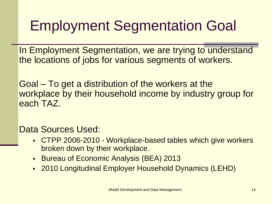# Employment Segmentation Goal

In Employment Segmentation, we are trying to understand the locations of jobs for various segments of workers.

Goal – To get a distribution of the workers at the workplace by their household income by industry group for each TAZ.

#### Data Sources Used:

- CTPP 2006-2010 Workplace-based tables which give workers broken down by their workplace.
- **Bureau of Economic Analysis (BEA) 2013**
- 2010 Longitudinal Employer Household Dynamics (LEHD)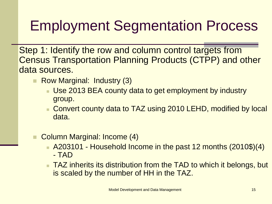# Employment Segmentation Process

Step 1: Identify the row and column control targets from Census Transportation Planning Products (CTPP) and other data sources.

- Row Marginal: Industry (3)
	- Use 2013 BEA county data to get employment by industry group.
	- Convert county data to TAZ using 2010 LEHD, modified by local data.

#### Column Marginal: Income (4)

- A203101 Household Income in the past 12 months (2010\$)(4) - TAD
- TAZ inherits its distribution from the TAD to which it belongs, but is scaled by the number of HH in the TAZ.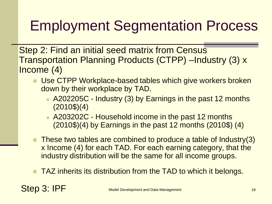# Employment Segmentation Process

Step 2: Find an initial seed matrix from Census Transportation Planning Products (CTPP) –Industry (3) x Income (4)

- Use CTPP Workplace-based tables which give workers broken down by their workplace by TAD.
	- **A202205C Industry (3) by Earnings in the past 12 months**  $(2010\$  $)(4)$
	- **A203202C Household income in the past 12 months** (2010\$)(4) by Earnings in the past 12 months (2010\$) (4)
- These two tables are combined to produce a table of Industry(3) x Income (4) for each TAD. For each earning category, that the industry distribution will be the same for all income groups.
- TAZ inherits its distribution from the TAD to which it belongs.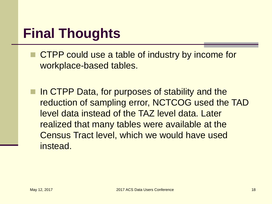### **Final Thoughts**

- **CTPP** could use a table of industry by income for workplace-based tables.
- In CTPP Data, for purposes of stability and the reduction of sampling error, NCTCOG used the TAD level data instead of the TAZ level data. Later realized that many tables were available at the Census Tract level, which we would have used instead.